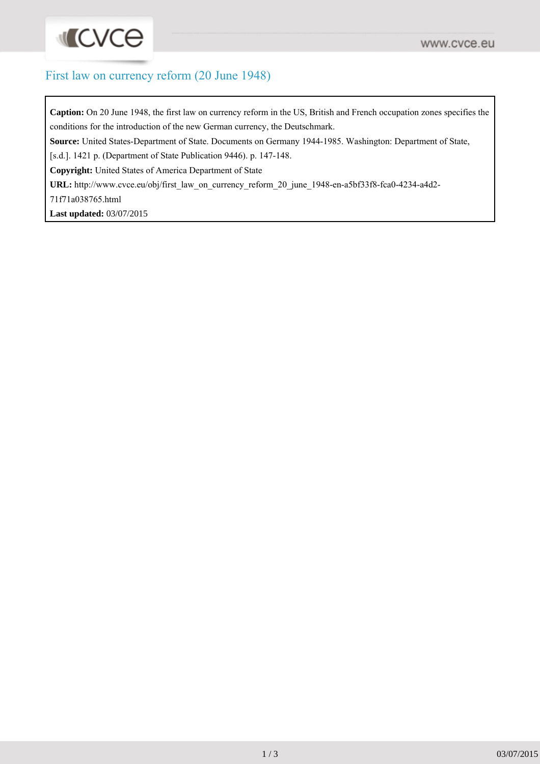## First law on currency reform (20 June 1948)

**Caption:** On 20 June 1948, the first law on currency reform in the US, British and French occupation zones specifies the conditions for the introduction of the new German currency, the Deutschmark.

**Source:** United States-Department of State. Documents on Germany 1944-1985. Washington: Department of State,

[s.d.]. 1421 p. (Department of State Publication 9446). p. 147-148.

**Copyright:** United States of America Department of State

URL: [http://www.cvce.eu/obj/first\\_law\\_on\\_currency\\_reform\\_20\\_june\\_1948-en-a5bf33f8-fca0-4234-a4d2-](http://www.cvce.eu/obj/first_law_on_currency_reform_20_june_1948-en-a5bf33f8-fca0-4234-a4d2-71f71a038765.html)

[71f71a038765.html](http://www.cvce.eu/obj/first_law_on_currency_reform_20_june_1948-en-a5bf33f8-fca0-4234-a4d2-71f71a038765.html)

**Last updated:** 03/07/2015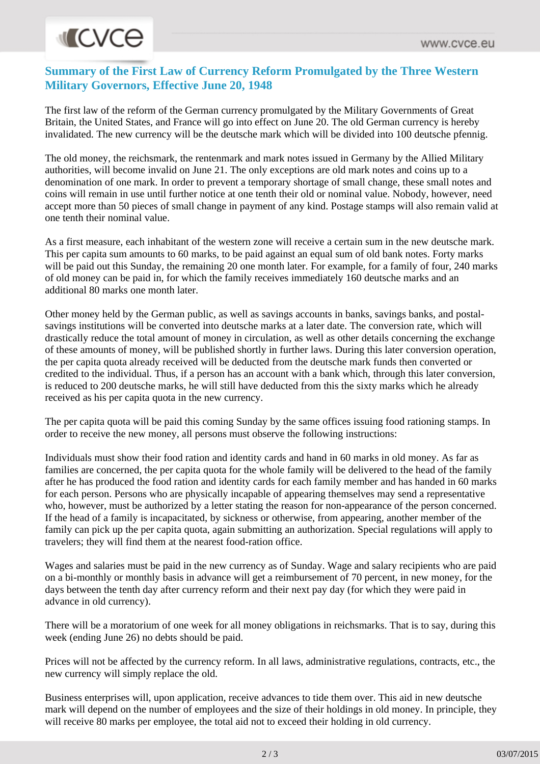## **INCVCe**

## **Summary of the First Law of Currency Reform Promulgated by the Three Western Military Governors, Effective June 20, 1948**

The first law of the reform of the German currency promulgated by the Military Governments of Great Britain, the United States, and France will go into effect on June 20. The old German currency is hereby invalidated. The new currency will be the deutsche mark which will be divided into 100 deutsche pfennig.

The old money, the reichsmark, the rentenmark and mark notes issued in Germany by the Allied Military authorities, will become invalid on June 21. The only exceptions are old mark notes and coins up to a denomination of one mark. In order to prevent a temporary shortage of small change, these small notes and coins will remain in use until further notice at one tenth their old or nominal value. Nobody, however, need accept more than 50 pieces of small change in payment of any kind. Postage stamps will also remain valid at one tenth their nominal value.

As a first measure, each inhabitant of the western zone will receive a certain sum in the new deutsche mark. This per capita sum amounts to 60 marks, to be paid against an equal sum of old bank notes. Forty marks will be paid out this Sunday, the remaining 20 one month later. For example, for a family of four, 240 marks of old money can be paid in, for which the family receives immediately 160 deutsche marks and an additional 80 marks one month later.

Other money held by the German public, as well as savings accounts in banks, savings banks, and postalsavings institutions will be converted into deutsche marks at a later date. The conversion rate, which will drastically reduce the total amount of money in circulation, as well as other details concerning the exchange of these amounts of money, will be published shortly in further laws. During this later conversion operation, the per capita quota already received will be deducted from the deutsche mark funds then converted or credited to the individual. Thus, if a person has an account with a bank which, through this later conversion, is reduced to 200 deutsche marks, he will still have deducted from this the sixty marks which he already received as his per capita quota in the new currency.

The per capita quota will be paid this coming Sunday by the same offices issuing food rationing stamps. In order to receive the new money, all persons must observe the following instructions:

Individuals must show their food ration and identity cards and hand in 60 marks in old money. As far as families are concerned, the per capita quota for the whole family will be delivered to the head of the family after he has produced the food ration and identity cards for each family member and has handed in 60 marks for each person. Persons who are physically incapable of appearing themselves may send a representative who, however, must be authorized by a letter stating the reason for non-appearance of the person concerned. If the head of a family is incapacitated, by sickness or otherwise, from appearing, another member of the family can pick up the per capita quota, again submitting an authorization. Special regulations will apply to travelers; they will find them at the nearest food-ration office.

Wages and salaries must be paid in the new currency as of Sunday. Wage and salary recipients who are paid on a bi-monthly or monthly basis in advance will get a reimbursement of 70 percent, in new money, for the days between the tenth day after currency reform and their next pay day (for which they were paid in advance in old currency).

There will be a moratorium of one week for all money obligations in reichsmarks. That is to say, during this week (ending June 26) no debts should be paid.

Prices will not be affected by the currency reform. In all laws, administrative regulations, contracts, etc., the new currency will simply replace the old.

Business enterprises will, upon application, receive advances to tide them over. This aid in new deutsche mark will depend on the number of employees and the size of their holdings in old money. In principle, they will receive 80 marks per employee, the total aid not to exceed their holding in old currency.